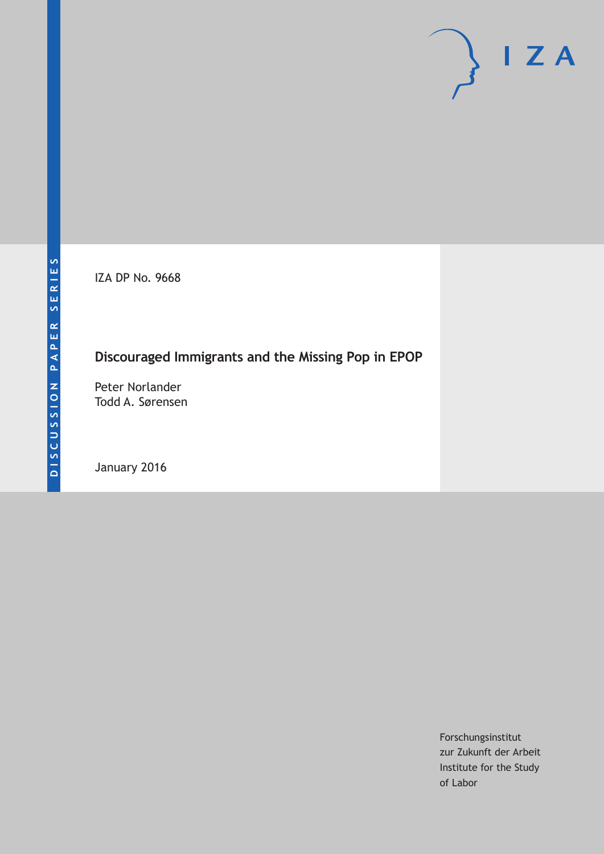IZA DP No. 9668

# **Discouraged Immigrants and the Missing Pop in EPOP**

Peter Norlander Todd A. Sørensen

January 2016

Forschungsinstitut zur Zukunft der Arbeit Institute for the Study of Labor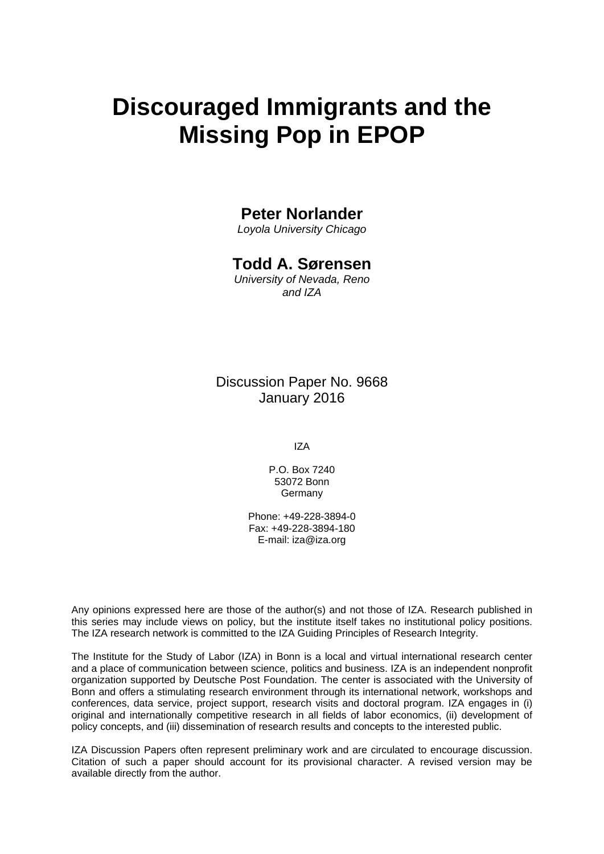# **Discouraged Immigrants and the Missing Pop in EPOP**

### **Peter Norlander**

*Loyola University Chicago* 

## **Todd A. Sørensen**

*University of Nevada, Reno and IZA* 

Discussion Paper No. 9668 January 2016

IZA

P.O. Box 7240 53072 Bonn **Germany** 

Phone: +49-228-3894-0 Fax: +49-228-3894-180 E-mail: iza@iza.org

Any opinions expressed here are those of the author(s) and not those of IZA. Research published in this series may include views on policy, but the institute itself takes no institutional policy positions. The IZA research network is committed to the IZA Guiding Principles of Research Integrity.

The Institute for the Study of Labor (IZA) in Bonn is a local and virtual international research center and a place of communication between science, politics and business. IZA is an independent nonprofit organization supported by Deutsche Post Foundation. The center is associated with the University of Bonn and offers a stimulating research environment through its international network, workshops and conferences, data service, project support, research visits and doctoral program. IZA engages in (i) original and internationally competitive research in all fields of labor economics, (ii) development of policy concepts, and (iii) dissemination of research results and concepts to the interested public.

IZA Discussion Papers often represent preliminary work and are circulated to encourage discussion. Citation of such a paper should account for its provisional character. A revised version may be available directly from the author.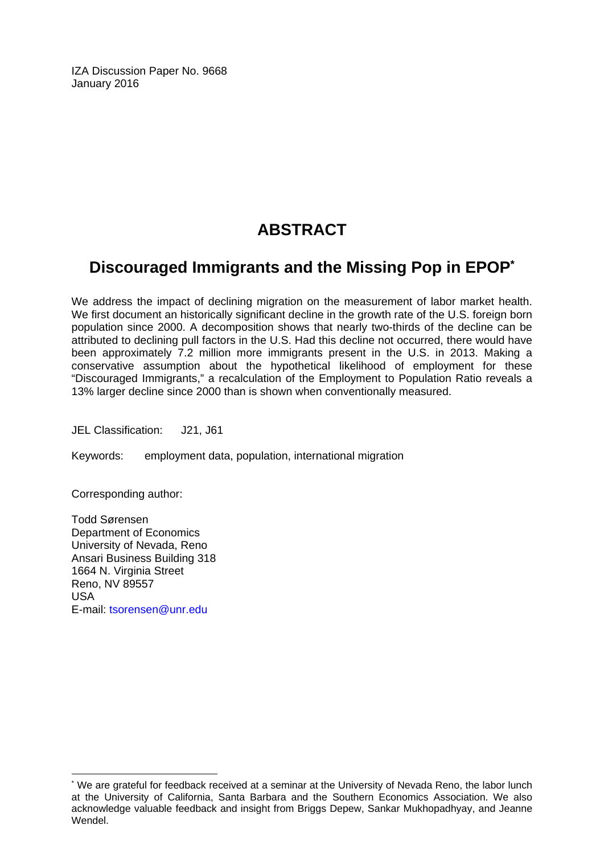IZA Discussion Paper No. 9668 January 2016

# **ABSTRACT**

# **Discouraged Immigrants and the Missing Pop in EPOP\***

We address the impact of declining migration on the measurement of labor market health. We first document an historically significant decline in the growth rate of the U.S. foreign born population since 2000. A decomposition shows that nearly two-thirds of the decline can be attributed to declining pull factors in the U.S. Had this decline not occurred, there would have been approximately 7.2 million more immigrants present in the U.S. in 2013. Making a conservative assumption about the hypothetical likelihood of employment for these "Discouraged Immigrants," a recalculation of the Employment to Population Ratio reveals a 13% larger decline since 2000 than is shown when conventionally measured.

JEL Classification: J21, J61

Keywords: employment data, population, international migration

Corresponding author:

 $\overline{a}$ 

Todd Sørensen Department of Economics University of Nevada, Reno Ansari Business Building 318 1664 N. Virginia Street Reno, NV 89557 USA E-mail: tsorensen@unr.edu

<sup>\*</sup> We are grateful for feedback received at a seminar at the University of Nevada Reno, the labor lunch at the University of California, Santa Barbara and the Southern Economics Association. We also acknowledge valuable feedback and insight from Briggs Depew, Sankar Mukhopadhyay, and Jeanne Wendel.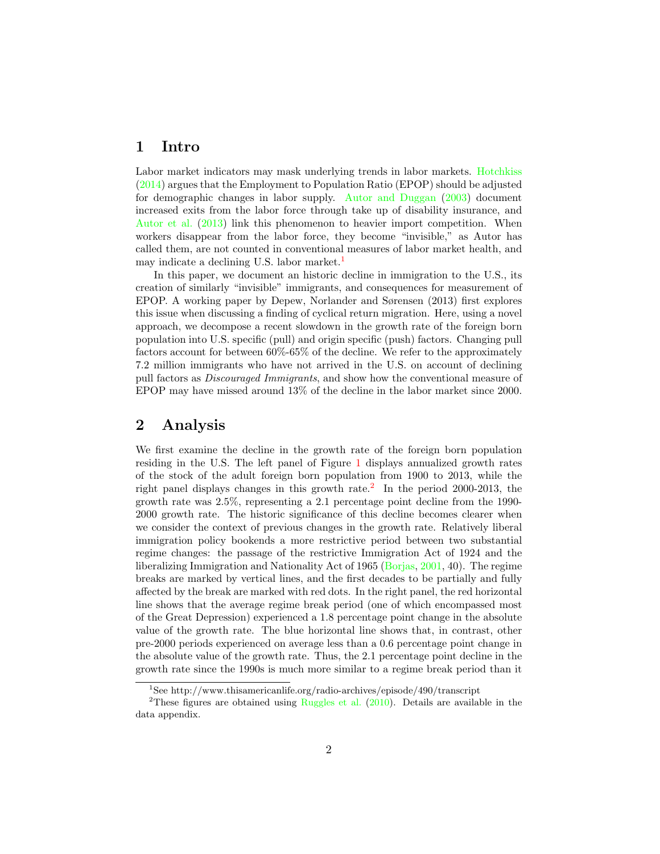#### 1 Intro

Labor market indicators may mask underlying trends in labor markets. Hotchkiss (2014) argues that the Employment to Population Ratio (EPOP) should be adjusted for demographic changes in labor supply. Autor and Duggan (2003) document increased exits from the labor force through take up of disability insurance, and Autor et al. (2013) link this phenomenon to heavier import competition. When workers disappear from the labor force, they become "invisible," as Autor has called them, are not counted in conventional measures of labor market health, and may indicate a declining U.S. labor market.<sup>1</sup>

In this paper, we document an historic decline in immigration to the U.S., its creation of similarly "invisible" immigrants, and consequences for measurement of EPOP. A working paper by Depew, Norlander and Sørensen (2013) first explores this issue when discussing a finding of cyclical return migration. Here, using a novel approach, we decompose a recent slowdown in the growth rate of the foreign born population into U.S. specific (pull) and origin specific (push) factors. Changing pull factors account for between 60%-65% of the decline. We refer to the approximately 7.2 million immigrants who have not arrived in the U.S. on account of declining pull factors as *Discouraged Immigrants*, and show how the conventional measure of EPOP may have missed around 13% of the decline in the labor market since 2000.

#### 2 Analysis

We first examine the decline in the growth rate of the foreign born population residing in the U.S. The left panel of Figure 1 displays annualized growth rates of the stock of the adult foreign born population from 1900 to 2013, while the right panel displays changes in this growth rate.<sup>2</sup> In the period 2000-2013, the growth rate was 2.5%, representing a 2.1 percentage point decline from the 1990- 2000 growth rate. The historic significance of this decline becomes clearer when we consider the context of previous changes in the growth rate. Relatively liberal immigration policy bookends a more restrictive period between two substantial regime changes: the passage of the restrictive Immigration Act of 1924 and the liberalizing Immigration and Nationality Act of 1965 (Borjas, 2001, 40). The regime breaks are marked by vertical lines, and the first decades to be partially and fully affected by the break are marked with red dots. In the right panel, the red horizontal line shows that the average regime break period (one of which encompassed most of the Great Depression) experienced a 1.8 percentage point change in the absolute value of the growth rate. The blue horizontal line shows that, in contrast, other pre-2000 periods experienced on average less than a 0.6 percentage point change in the absolute value of the growth rate. Thus, the 2.1 percentage point decline in the growth rate since the 1990s is much more similar to a regime break period than it

<sup>&</sup>lt;sup>1</sup>See http://www.thisamericanlife.org/radio-archives/episode/490/transcript

<sup>&</sup>lt;sup>2</sup>These figures are obtained using Ruggles et al.  $(2010)$ . Details are available in the data appendix.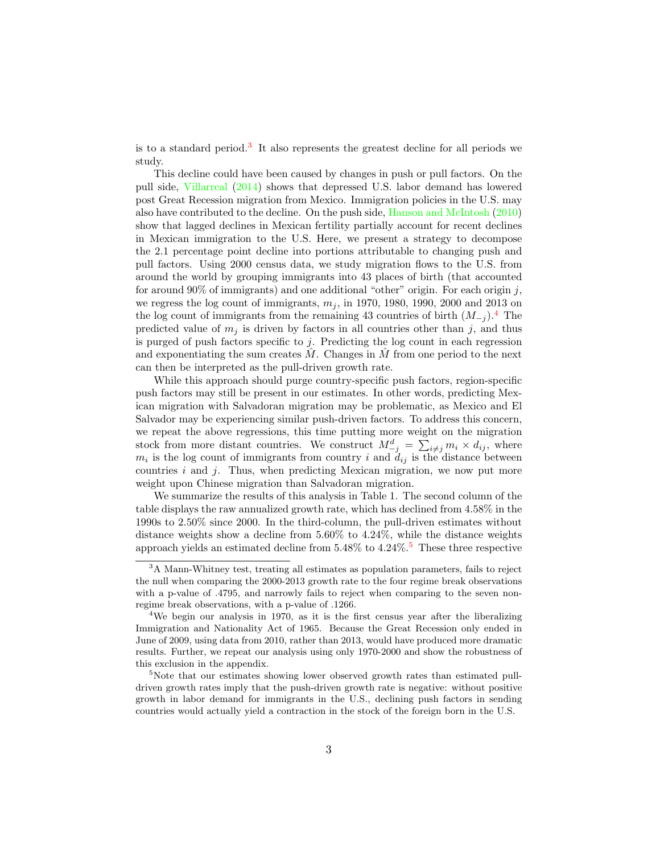is to a standard period.<sup>3</sup> It also represents the greatest decline for all periods we study.

This decline could have been caused by changes in push or pull factors. On the pull side, Villarreal (2014) shows that depressed U.S. labor demand has lowered post Great Recession migration from Mexico. Immigration policies in the U.S. may also have contributed to the decline. On the push side, Hanson and McIntosh (2010) show that lagged declines in Mexican fertility partially account for recent declines in Mexican immigration to the U.S. Here, we present a strategy to decompose the 2.1 percentage point decline into portions attributable to changing push and pull factors. Using 2000 census data, we study migration flows to the U.S. from around the world by grouping immigrants into 43 places of birth (that accounted for around 90% of immigrants) and one additional "other" origin. For each origin *j*, we regress the log count of immigrants,  $m_j$ , in 1970, 1980, 1990, 2000 and 2013 on the log count of immigrants from the remaining 43 countries of birth  $(M_{-i})$ .<sup>4</sup> The predicted value of  $m_j$  is driven by factors in all countries other than  $j$ , and thus is purged of push factors specific to *j*. Predicting the log count in each regression and exponentiating the sum creates  $\tilde{M}$ . Changes in  $\tilde{M}$  from one period to the next can then be interpreted as the pull-driven growth rate.

While this approach should purge country-specific push factors, region-specific push factors may still be present in our estimates. In other words, predicting Mexican migration with Salvadoran migration may be problematic, as Mexico and El Salvador may be experiencing similar push-driven factors. To address this concern, we repeat the above regressions, this time putting more weight on the migration stock from more distant countries. We construct  $M_{-j}^d = \sum_{i \neq j} m_i \times d_{ij}$ , where  $m_i$  is the log count of immigrants from country *i* and  $d_{ij}$  is the distance between countries *i* and *j*. Thus, when predicting Mexican migration, we now put more weight upon Chinese migration than Salvadoran migration.

We summarize the results of this analysis in Table 1. The second column of the table displays the raw annualized growth rate, which has declined from 4.58% in the 1990s to 2.50% since 2000. In the third-column, the pull-driven estimates without distance weights show a decline from  $5.60\%$  to  $4.24\%$ , while the distance weights approach yields an estimated decline from  $5.48\%$  to  $4.24\%$ .<sup>5</sup> These three respective

<sup>3</sup>A Mann-Whitney test, treating all estimates as population parameters, fails to reject the null when comparing the 2000-2013 growth rate to the four regime break observations with a p-value of .4795, and narrowly fails to reject when comparing to the seven nonregime break observations, with a p-value of .1266.

<sup>&</sup>lt;sup>4</sup>We begin our analysis in 1970, as it is the first census year after the liberalizing Immigration and Nationality Act of 1965. Because the Great Recession only ended in June of 2009, using data from 2010, rather than 2013, would have produced more dramatic results. Further, we repeat our analysis using only 1970-2000 and show the robustness of this exclusion in the appendix.

<sup>&</sup>lt;sup>5</sup>Note that our estimates showing lower observed growth rates than estimated pulldriven growth rates imply that the push-driven growth rate is negative: without positive growth in labor demand for immigrants in the U.S., declining push factors in sending countries would actually yield a contraction in the stock of the foreign born in the U.S.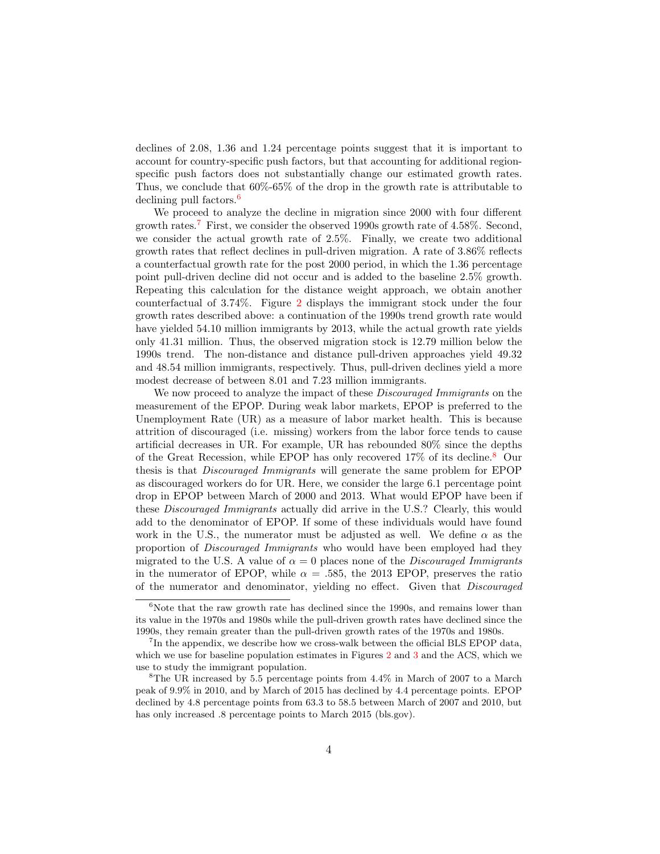declines of 2.08, 1.36 and 1.24 percentage points suggest that it is important to account for country-specific push factors, but that accounting for additional regionspecific push factors does not substantially change our estimated growth rates. Thus, we conclude that 60%-65% of the drop in the growth rate is attributable to declining pull factors.<sup>6</sup>

We proceed to analyze the decline in migration since 2000 with four different growth rates.<sup>7</sup> First, we consider the observed 1990s growth rate of 4.58%. Second, we consider the actual growth rate of 2.5%. Finally, we create two additional growth rates that reflect declines in pull-driven migration. A rate of 3.86% reflects a counterfactual growth rate for the post 2000 period, in which the 1.36 percentage point pull-driven decline did not occur and is added to the baseline 2.5% growth. Repeating this calculation for the distance weight approach, we obtain another counterfactual of 3.74%. Figure 2 displays the immigrant stock under the four growth rates described above: a continuation of the 1990s trend growth rate would have yielded 54.10 million immigrants by 2013, while the actual growth rate yields only 41.31 million. Thus, the observed migration stock is 12.79 million below the 1990s trend. The non-distance and distance pull-driven approaches yield 49.32 and 48.54 million immigrants, respectively. Thus, pull-driven declines yield a more modest decrease of between 8.01 and 7.23 million immigrants.

We now proceed to analyze the impact of these *Discouraged Immigrants* on the measurement of the EPOP. During weak labor markets, EPOP is preferred to the Unemployment Rate (UR) as a measure of labor market health. This is because attrition of discouraged (i.e. missing) workers from the labor force tends to cause artificial decreases in UR. For example, UR has rebounded 80% since the depths of the Great Recession, while EPOP has only recovered 17% of its decline.<sup>8</sup> Our thesis is that *Discouraged Immigrants* will generate the same problem for EPOP as discouraged workers do for UR. Here, we consider the large 6.1 percentage point drop in EPOP between March of 2000 and 2013. What would EPOP have been if these *Discouraged Immigrants* actually did arrive in the U.S.? Clearly, this would add to the denominator of EPOP. If some of these individuals would have found work in the U.S., the numerator must be adjusted as well. We define  $\alpha$  as the proportion of *Discouraged Immigrants* who would have been employed had they migrated to the U.S. A value of  $\alpha = 0$  places none of the *Discouraged Immigrants* in the numerator of EPOP, while  $\alpha = .585$ , the 2013 EPOP, preserves the ratio of the numerator and denominator, yielding no effect. Given that *Discouraged* 

 $6$ Note that the raw growth rate has declined since the 1990s, and remains lower than its value in the 1970s and 1980s while the pull-driven growth rates have declined since the 1990s, they remain greater than the pull-driven growth rates of the 1970s and 1980s.

 $7$ In the appendix, we describe how we cross-walk between the official BLS EPOP data, which we use for baseline population estimates in Figures 2 and 3 and the ACS, which we use to study the immigrant population.

<sup>&</sup>lt;sup>8</sup>The UR increased by 5.5 percentage points from  $4.4\%$  in March of 2007 to a March peak of 9.9% in 2010, and by March of 2015 has declined by 4.4 percentage points. EPOP declined by 4.8 percentage points from 63.3 to 58.5 between March of 2007 and 2010, but has only increased .8 percentage points to March 2015 (bls.gov).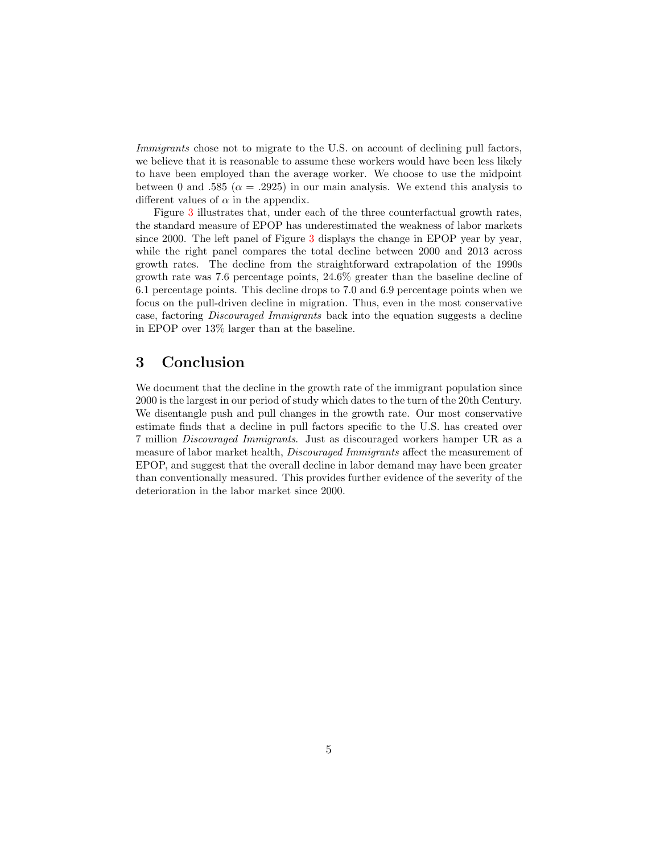*Immigrants* chose not to migrate to the U.S. on account of declining pull factors, we believe that it is reasonable to assume these workers would have been less likely to have been employed than the average worker. We choose to use the midpoint between 0 and .585 ( $\alpha = .2925$ ) in our main analysis. We extend this analysis to different values of  $\alpha$  in the appendix.

Figure 3 illustrates that, under each of the three counterfactual growth rates, the standard measure of EPOP has underestimated the weakness of labor markets since 2000. The left panel of Figure 3 displays the change in EPOP year by year, while the right panel compares the total decline between 2000 and 2013 across growth rates. The decline from the straightforward extrapolation of the 1990s growth rate was 7.6 percentage points, 24.6% greater than the baseline decline of 6.1 percentage points. This decline drops to 7.0 and 6.9 percentage points when we focus on the pull-driven decline in migration. Thus, even in the most conservative case, factoring *Discouraged Immigrants* back into the equation suggests a decline in EPOP over 13% larger than at the baseline.

### 3 Conclusion

We document that the decline in the growth rate of the immigrant population since 2000 is the largest in our period of study which dates to the turn of the 20th Century. We disentangle push and pull changes in the growth rate. Our most conservative estimate finds that a decline in pull factors specific to the U.S. has created over 7 million *Discouraged Immigrants*. Just as discouraged workers hamper UR as a measure of labor market health, *Discouraged Immigrants* affect the measurement of EPOP, and suggest that the overall decline in labor demand may have been greater than conventionally measured. This provides further evidence of the severity of the deterioration in the labor market since 2000.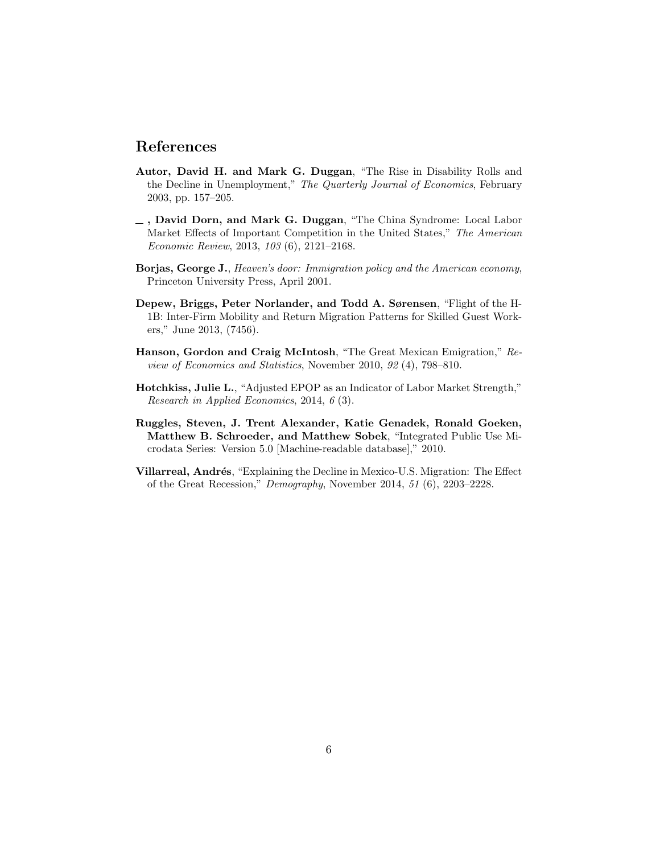### References

- Autor, David H. and Mark G. Duggan, "The Rise in Disability Rolls and the Decline in Unemployment," *The Quarterly Journal of Economics*, February 2003, pp. 157–205.
- , David Dorn, and Mark G. Duggan, "The China Syndrome: Local Labor Market Effects of Important Competition in the United States," *The American Economic Review*, 2013, *103* (6), 2121–2168.
- Borjas, George J., *Heaven's door: Immigration policy and the American economy*, Princeton University Press, April 2001.
- Depew, Briggs, Peter Norlander, and Todd A. Sørensen, "Flight of the H-1B: Inter-Firm Mobility and Return Migration Patterns for Skilled Guest Workers," June 2013, (7456).
- Hanson, Gordon and Craig McIntosh, "The Great Mexican Emigration," *Review of Economics and Statistics*, November 2010, *92* (4), 798–810.
- Hotchkiss, Julie L., "Adjusted EPOP as an Indicator of Labor Market Strength," *Research in Applied Economics*, 2014, *6* (3).
- Ruggles, Steven, J. Trent Alexander, Katie Genadek, Ronald Goeken, Matthew B. Schroeder, and Matthew Sobek, "Integrated Public Use Microdata Series: Version 5.0 [Machine-readable database]," 2010.
- Villarreal, Andrés, "Explaining the Decline in Mexico-U.S. Migration: The Effect of the Great Recession," *Demography*, November 2014, *51* (6), 2203–2228.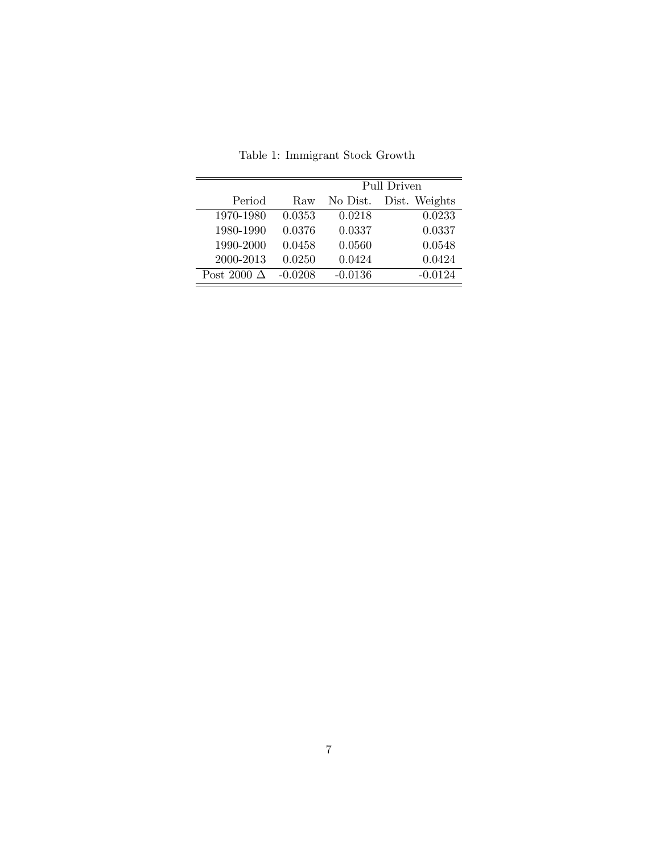|                    |           | Pull Driven |               |  |  |
|--------------------|-----------|-------------|---------------|--|--|
| Period             | Raw       | No Dist.    | Dist. Weights |  |  |
| 1970-1980          | 0.0353    | 0.0218      | 0.0233        |  |  |
| 1980-1990          | 0.0376    | 0.0337      | 0.0337        |  |  |
| 1990-2000          | 0.0458    | 0.0560      | 0.0548        |  |  |
| 2000-2013          | 0.0250    | 0.0424      | 0.0424        |  |  |
| Post 2000 $\Delta$ | $-0.0208$ | $-0.0136$   | $-0.0124$     |  |  |

Table 1: Immigrant Stock Growth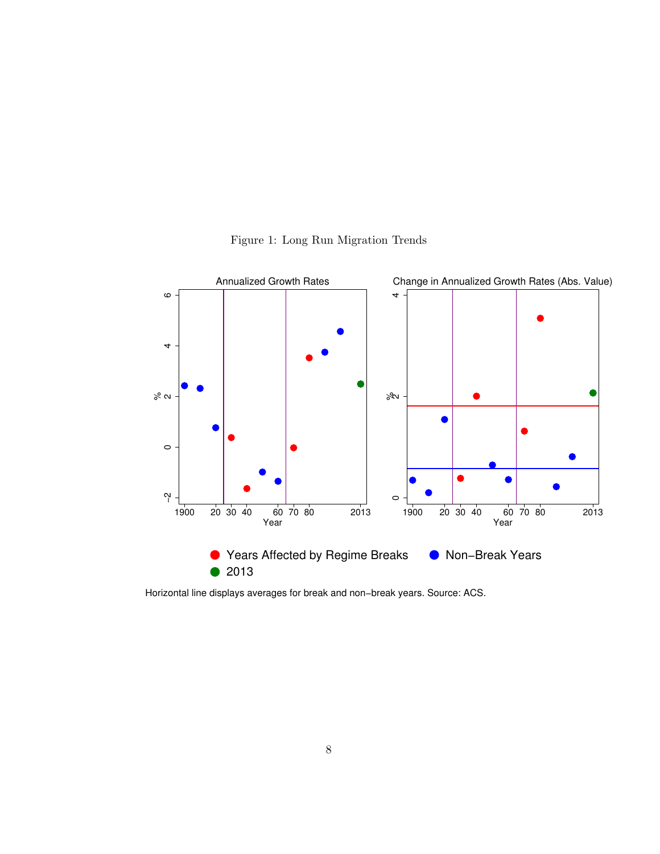

Figure 1: Long Run Migration Trends

Horizontal line displays averages for break and non−break years. Source: ACS.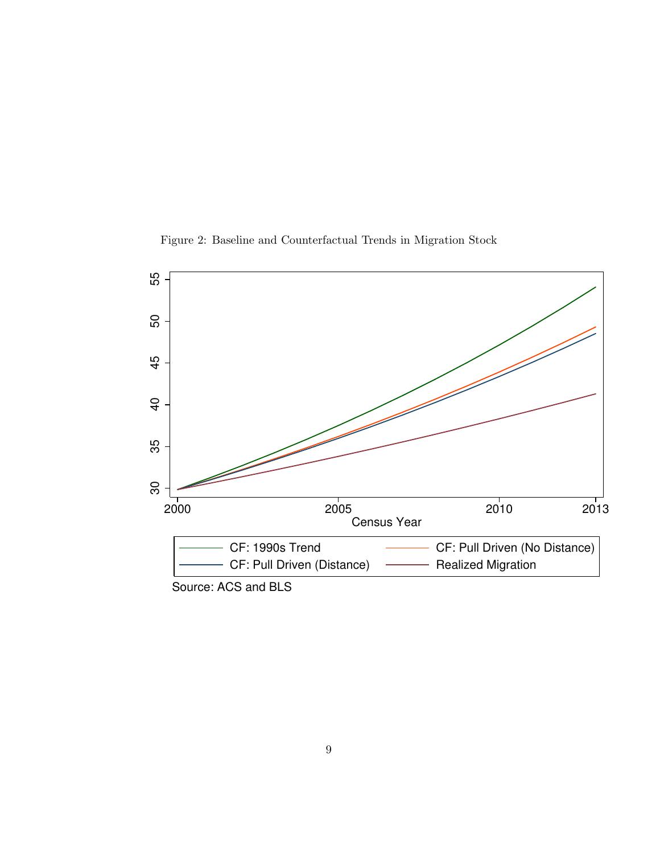Figure 2: Baseline and Counterfactual Trends in Migration Stock



Source: ACS and BLS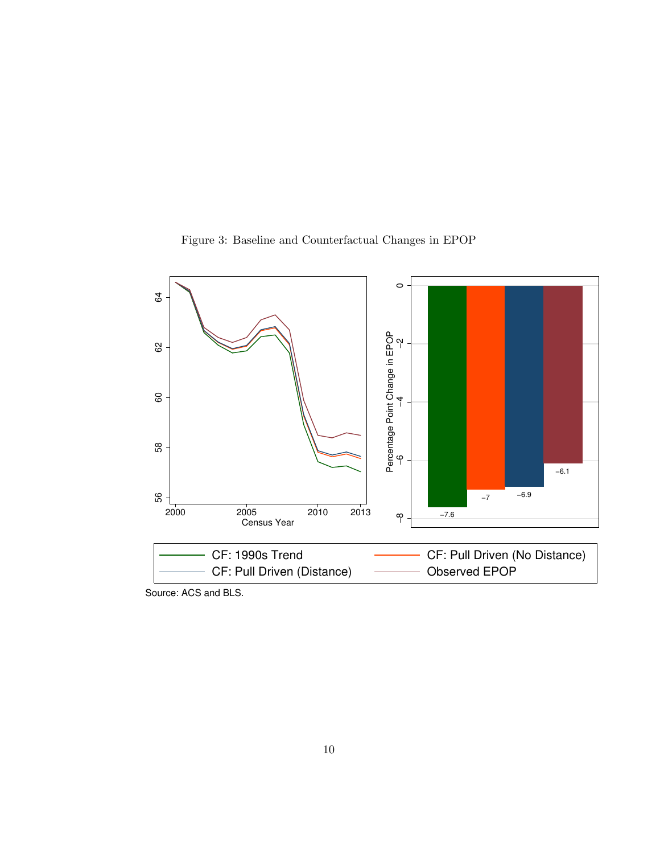



Source: ACS and BLS.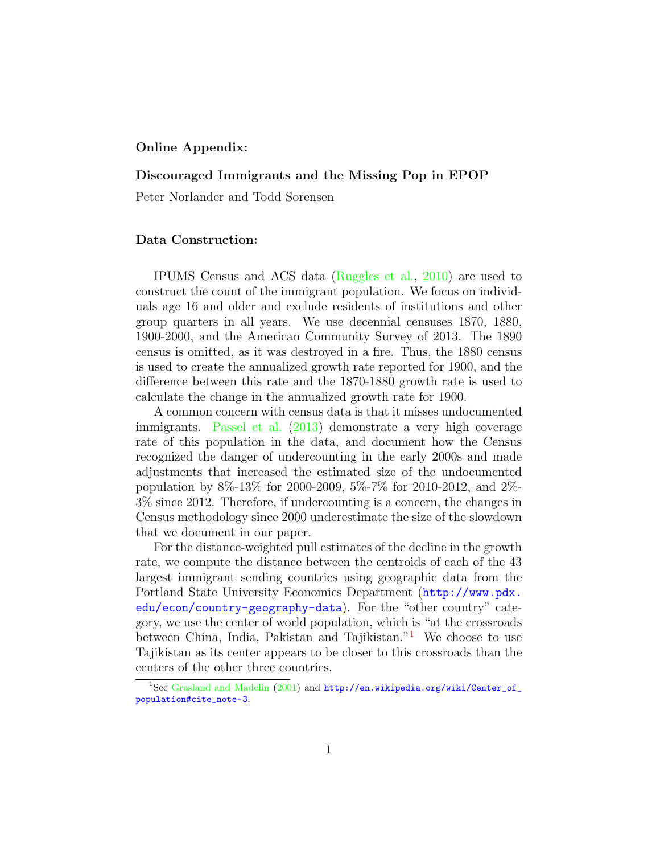#### Online Appendix:

#### Discouraged Immigrants and the Missing Pop in EPOP

Peter Norlander and Todd Sorensen

#### Data Construction:

IPUMS Census and ACS data (Ruggles et al., 2010) are used to construct the count of the immigrant population. We focus on individuals age 16 and older and exclude residents of institutions and other group quarters in all years. We use decennial censuses 1870, 1880, 1900-2000, and the American Community Survey of 2013. The 1890 census is omitted, as it was destroyed in a fire. Thus, the 1880 census is used to create the annualized growth rate reported for 1900, and the difference between this rate and the 1870-1880 growth rate is used to calculate the change in the annualized growth rate for 1900.

A common concern with census data is that it misses undocumented immigrants. Passel et al. (2013) demonstrate a very high coverage rate of this population in the data, and document how the Census recognized the danger of undercounting in the early 2000s and made adjustments that increased the estimated size of the undocumented population by 8%-13% for 2000-2009, 5%-7% for 2010-2012, and 2%- 3% since 2012. Therefore, if undercounting is a concern, the changes in Census methodology since 2000 underestimate the size of the slowdown that we document in our paper.

For the distance-weighted pull estimates of the decline in the growth rate, we compute the distance between the centroids of each of the 43 largest immigrant sending countries using geographic data from the Portland State University Economics Department (http://www.pdx. edu/econ/country-geography-data). For the "other country" category, we use the center of world population, which is "at the crossroads between China, India, Pakistan and Tajikistan."<sup>1</sup> We choose to use Tajikistan as its center appears to be closer to this crossroads than the centers of the other three countries.

<sup>&</sup>lt;sup>1</sup>See Grasland and Madelin (2001) and http://en.wikipedia.org/wiki/Center\_of\_ population#cite\_note-3.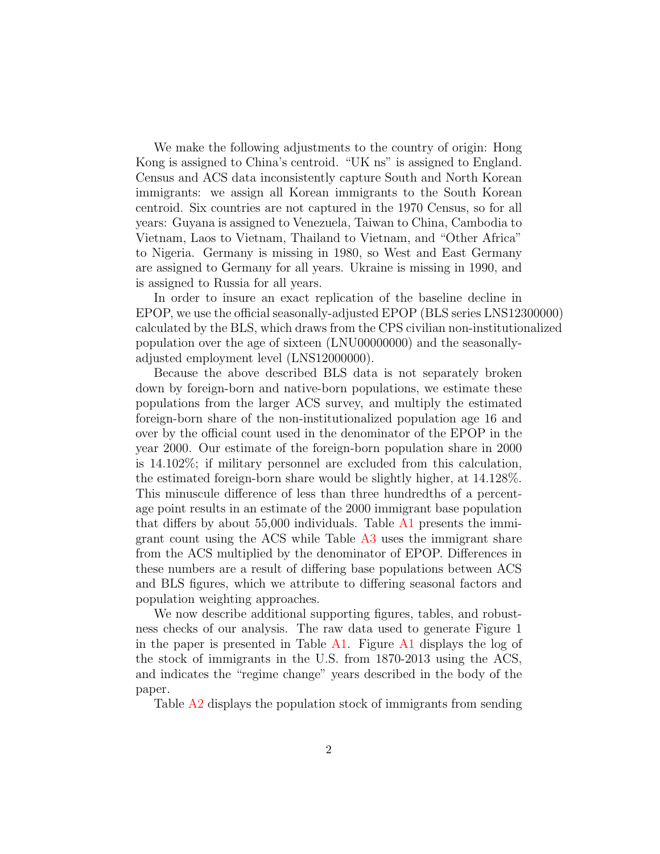We make the following adjustments to the country of origin: Hong Kong is assigned to China's centroid. "UK ns" is assigned to England. Census and ACS data inconsistently capture South and North Korean immigrants: we assign all Korean immigrants to the South Korean centroid. Six countries are not captured in the 1970 Census, so for all years: Guyana is assigned to Venezuela, Taiwan to China, Cambodia to Vietnam, Laos to Vietnam, Thailand to Vietnam, and "Other Africa" to Nigeria. Germany is missing in 1980, so West and East Germany are assigned to Germany for all years. Ukraine is missing in 1990, and is assigned to Russia for all years.

In order to insure an exact replication of the baseline decline in EPOP, we use the official seasonally-adjusted EPOP (BLS series LNS12300000) calculated by the BLS, which draws from the CPS civilian non-institutionalized population over the age of sixteen (LNU00000000) and the seasonallyadjusted employment level (LNS12000000).

Because the above described BLS data is not separately broken down by foreign-born and native-born populations, we estimate these populations from the larger ACS survey, and multiply the estimated foreign-born share of the non-institutionalized population age 16 and over by the official count used in the denominator of the EPOP in the year 2000. Our estimate of the foreign-born population share in 2000 is 14.102%; if military personnel are excluded from this calculation, the estimated foreign-born share would be slightly higher, at 14.128%. This minuscule difference of less than three hundredths of a percentage point results in an estimate of the 2000 immigrant base population that differs by about  $55,000$  individuals. Table  $\overline{A1}$  presents the immigrant count using the ACS while Table A3 uses the immigrant share from the ACS multiplied by the denominator of EPOP. Differences in these numbers are a result of differing base populations between ACS and BLS figures, which we attribute to differing seasonal factors and population weighting approaches.

We now describe additional supporting figures, tables, and robustness checks of our analysis. The raw data used to generate Figure 1 in the paper is presented in Table  $\overline{A1}$ . Figure  $\overline{A1}$  displays the log of the stock of immigrants in the U.S. from 1870-2013 using the ACS, and indicates the "regime change" years described in the body of the paper.

Table A2 displays the population stock of immigrants from sending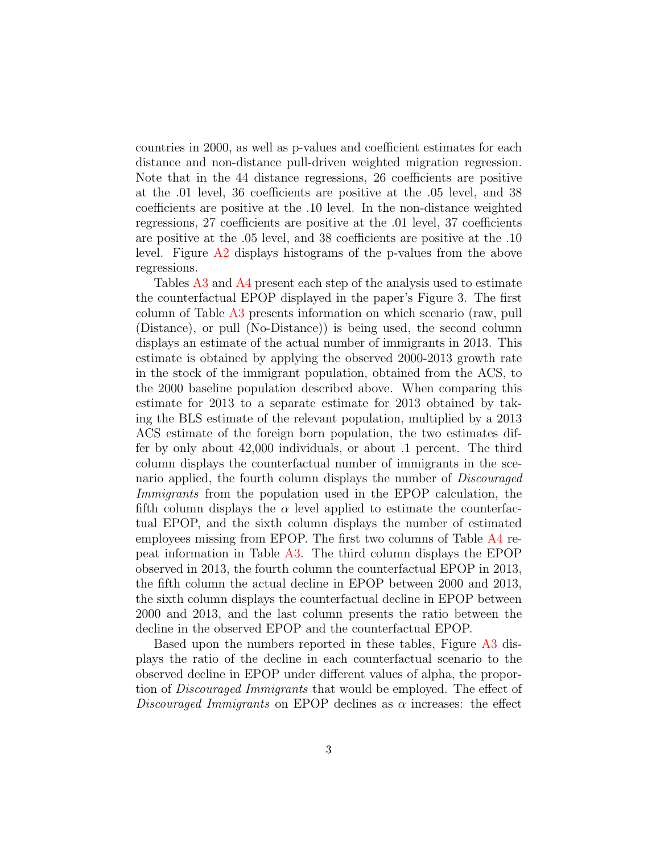countries in 2000, as well as p-values and coefficient estimates for each distance and non-distance pull-driven weighted migration regression. Note that in the 44 distance regressions, 26 coefficients are positive at the .01 level, 36 coefficients are positive at the .05 level, and 38 coefficients are positive at the .10 level. In the non-distance weighted regressions, 27 coefficients are positive at the .01 level, 37 coefficients are positive at the .05 level, and 38 coefficients are positive at the .10 level. Figure A2 displays histograms of the p-values from the above regressions.

Tables A3 and A4 present each step of the analysis used to estimate the counterfactual EPOP displayed in the paper's Figure 3. The first column of Table A3 presents information on which scenario (raw, pull (Distance), or pull (No-Distance)) is being used, the second column displays an estimate of the actual number of immigrants in 2013. This estimate is obtained by applying the observed 2000-2013 growth rate in the stock of the immigrant population, obtained from the ACS, to the 2000 baseline population described above. When comparing this estimate for 2013 to a separate estimate for 2013 obtained by taking the BLS estimate of the relevant population, multiplied by a 2013 ACS estimate of the foreign born population, the two estimates differ by only about 42,000 individuals, or about .1 percent. The third column displays the counterfactual number of immigrants in the scenario applied, the fourth column displays the number of *Discouraged Immigrants* from the population used in the EPOP calculation, the fifth column displays the  $\alpha$  level applied to estimate the counterfactual EPOP, and the sixth column displays the number of estimated employees missing from EPOP. The first two columns of Table A4 repeat information in Table A3. The third column displays the EPOP observed in 2013, the fourth column the counterfactual EPOP in 2013, the fifth column the actual decline in EPOP between 2000 and 2013, the sixth column displays the counterfactual decline in EPOP between 2000 and 2013, and the last column presents the ratio between the decline in the observed EPOP and the counterfactual EPOP.

Based upon the numbers reported in these tables, Figure A3 displays the ratio of the decline in each counterfactual scenario to the observed decline in EPOP under different values of alpha, the proportion of *Discouraged Immigrants* that would be employed. The effect of *Discouraged Immigrants* on EPOP declines as  $\alpha$  increases: the effect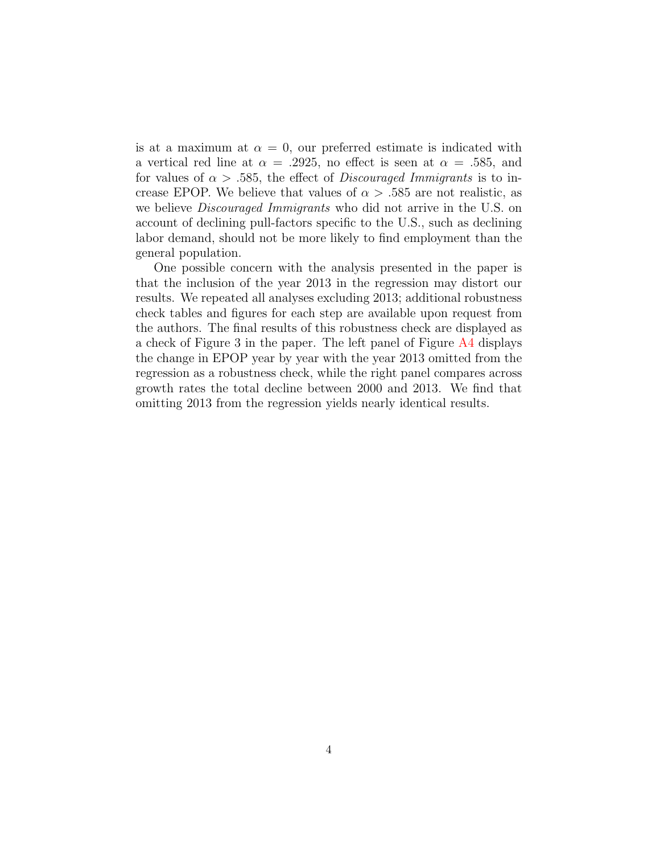is at a maximum at  $\alpha = 0$ , our preferred estimate is indicated with a vertical red line at  $\alpha = .2925$ , no effect is seen at  $\alpha = .585$ , and for values of  $\alpha > .585$ , the effect of *Discouraged Immigrants* is to increase EPOP. We believe that values of  $\alpha > .585$  are not realistic, as we believe *Discouraged Immigrants* who did not arrive in the U.S. on account of declining pull-factors specific to the U.S., such as declining labor demand, should not be more likely to find employment than the general population.

One possible concern with the analysis presented in the paper is that the inclusion of the year 2013 in the regression may distort our results. We repeated all analyses excluding 2013; additional robustness check tables and figures for each step are available upon request from the authors. The final results of this robustness check are displayed as a check of Figure 3 in the paper. The left panel of Figure A4 displays the change in EPOP year by year with the year 2013 omitted from the regression as a robustness check, while the right panel compares across growth rates the total decline between 2000 and 2013. We find that omitting 2013 from the regression yields nearly identical results.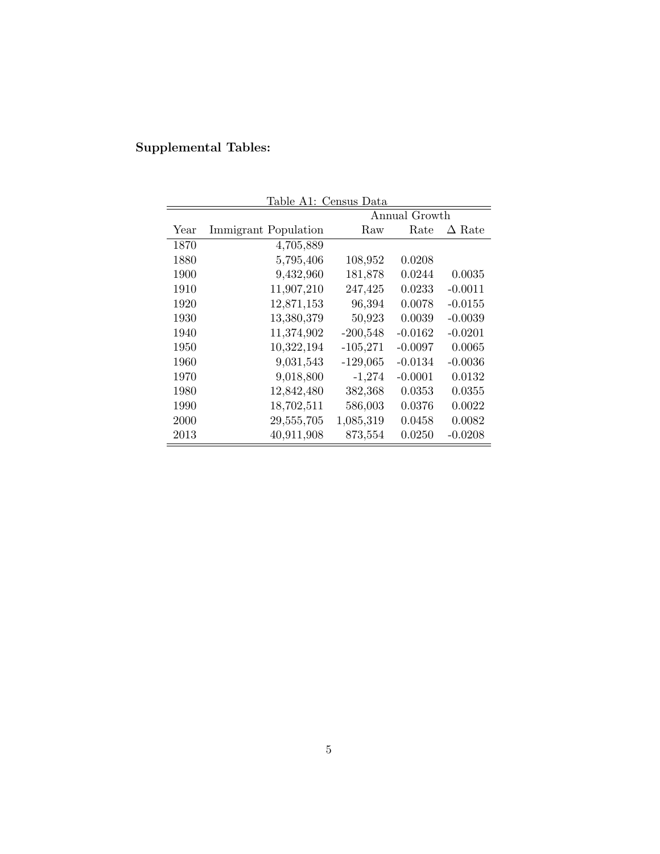# Supplemental Tables:

| Table A1: Census Data |                      |               |           |               |  |  |
|-----------------------|----------------------|---------------|-----------|---------------|--|--|
|                       |                      | Annual Growth |           |               |  |  |
| Year                  | Immigrant Population | Raw           | Rate      | $\Delta$ Rate |  |  |
| 1870                  | 4,705,889            |               |           |               |  |  |
| 1880                  | 5,795,406            | 108,952       | 0.0208    |               |  |  |
| 1900                  | 9,432,960            | 181,878       | 0.0244    | 0.0035        |  |  |
| 1910                  | 11,907,210           | 247,425       | 0.0233    | $-0.0011$     |  |  |
| 1920                  | 12,871,153           | 96,394        | 0.0078    | $-0.0155$     |  |  |
| 1930                  | 13,380,379           | 50,923        | 0.0039    | $-0.0039$     |  |  |
| 1940                  | 11,374,902           | $-200,548$    | $-0.0162$ | $-0.0201$     |  |  |
| 1950                  | 10,322,194           | $-105,271$    | $-0.0097$ | 0.0065        |  |  |
| 1960                  | 9,031,543            | $-129,065$    | $-0.0134$ | $-0.0036$     |  |  |
| 1970                  | 9,018,800            | $-1,274$      | $-0.0001$ | 0.0132        |  |  |
| 1980                  | 12,842,480           | 382,368       | 0.0353    | 0.0355        |  |  |
| 1990                  | 18,702,511           | 586,003       | 0.0376    | 0.0022        |  |  |
| 2000                  | 29,555,705           | 1,085,319     | 0.0458    | 0.0082        |  |  |
| 2013                  | 40,911,908           | 873,554       | 0.0250    | $-0.0208$     |  |  |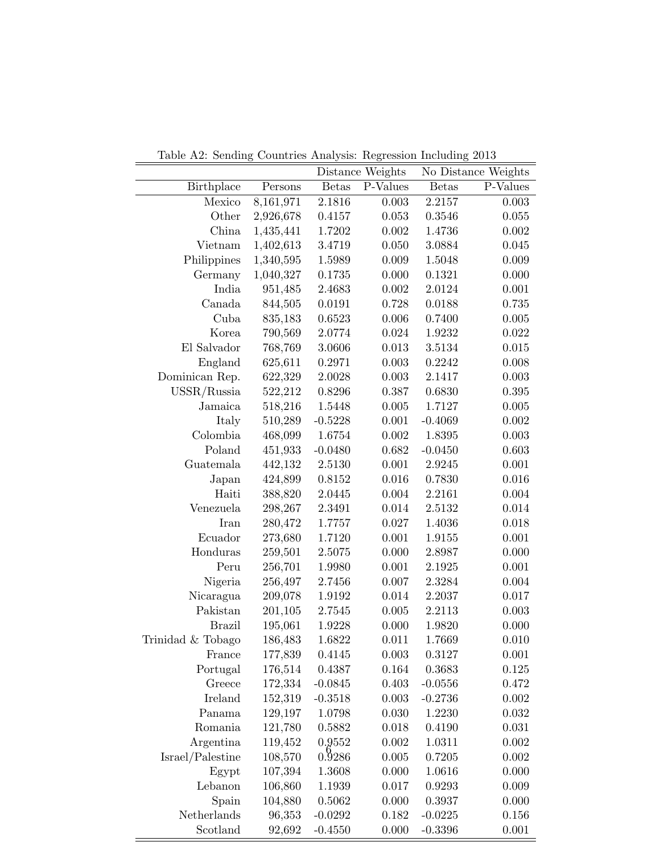Table A2: Sending Countries Analysis: Regression Including 2013

|                   |             | Distance Weights |          | No Distance Weights |          |
|-------------------|-------------|------------------|----------|---------------------|----------|
| <b>Birthplace</b> | Persons     | <b>Betas</b>     | P-Values | <b>Betas</b>        | P-Values |
| Mexico            | 8,161,971   | 2.1816           | 0.003    | 2.2157              | 0.003    |
| Other             | 2,926,678   | 0.4157           | 0.053    | 0.3546              | 0.055    |
| China             | 1,435,441   | 1.7202           | 0.002    | 1.4736              | 0.002    |
| Vietnam           | 1,402,613   | 3.4719           | 0.050    | 3.0884              | 0.045    |
| Philippines       | 1,340,595   | 1.5989           | 0.009    | 1.5048              | 0.009    |
| Germany           | 1,040,327   | 0.1735           | 0.000    | 0.1321              | 0.000    |
| India             | 951,485     | 2.4683           | 0.002    | 2.0124              | 0.001    |
| Canada            | 844,505     | 0.0191           | 0.728    | 0.0188              | 0.735    |
| Cuba              | 835,183     | 0.6523           | 0.006    | 0.7400              | 0.005    |
| Korea             | 790,569     | 2.0774           | 0.024    | 1.9232              | 0.022    |
| El Salvador       | 768,769     | 3.0606           | 0.013    | 3.5134              | 0.015    |
| England           | 625,611     | 0.2971           | 0.003    | 0.2242              | 0.008    |
| Dominican Rep.    | 622,329     | 2.0028           | 0.003    | 2.1417              | 0.003    |
| $USSR/R$ ussia    | 522,212     | 0.8296           | 0.387    | 0.6830              | 0.395    |
| Jamaica           | 518,216     | 1.5448           | 0.005    | 1.7127              | 0.005    |
| Italy             | 510,289     | $-0.5228$        | 0.001    | $-0.4069$           | 0.002    |
| Colombia          | 468,099     | 1.6754           | 0.002    | 1.8395              | 0.003    |
| Poland            | 451,933     | $-0.0480$        | 0.682    | $-0.0450$           | 0.603    |
| Guatemala         | 442,132     | 2.5130           | 0.001    | 2.9245              | 0.001    |
| Japan             | 424,899     | 0.8152           | 0.016    | 0.7830              | 0.016    |
| Haiti             | 388,820     | 2.0445           | 0.004    | 2.2161              | 0.004    |
| Venezuela         | 298,267     | 2.3491           | 0.014    | 2.5132              | 0.014    |
| Iran              | 280,472     | 1.7757           | 0.027    | 1.4036              | 0.018    |
| Ecuador           | 273,680     | 1.7120           | 0.001    | 1.9155              | 0.001    |
| Honduras          | 259,501     | 2.5075           | 0.000    | 2.8987              | 0.000    |
| Peru              | 256,701     | 1.9980           | 0.001    | 2.1925              | 0.001    |
| Nigeria           | 256,497     | 2.7456           | 0.007    | 2.3284              | 0.004    |
| Nicaragua         | 209,078     | 1.9192           | 0.014    | 2.2037              | 0.017    |
| Pakistan          | 201,105     | 2.7545           | 0.005    | 2.2113              | 0.003    |
| <b>Brazil</b>     | 195,061     | 1.9228           | 0.000    | 1.9820              | 0.000    |
| Trinidad & Tobago | 186,483     | 1.6822           | 0.011    | 1.7669              | 0.010    |
| France            | $177,\!839$ | 0.4145           | 0.003    | 0.3127              | 0.001    |
| Portugal          | 176,514     | 0.4387           | 0.164    | 0.3683              | 0.125    |
| Greece            | 172,334     | $-0.0845$        | 0.403    | $-0.0556$           | 0.472    |
| Ireland           | 152,319     | $-0.3518$        | 0.003    | $-0.2736$           | 0.002    |
| Panama            | 129,197     | 1.0798           | 0.030    | 1.2230              | 0.032    |
| Romania           | 121,780     | 0.5882           | 0.018    | 0.4190              | 0.031    |
| Argentina         | 119,452     | 0.9552           | 0.002    | 1.0311              | 0.002    |
| Israel/Palestine  | 108,570     | 0.9286           | 0.005    | 0.7205              | 0.002    |
| Egypt             | 107,394     | 1.3608           | 0.000    | 1.0616              | 0.000    |
| Lebanon           | 106,860     | 1.1939           | 0.017    | 0.9293              | 0.009    |
| Spain             | 104,880     | 0.5062           | 0.000    | 0.3937              | 0.000    |
| Netherlands       | 96,353      | $-0.0292$        | 0.182    | $-0.0225$           | 0.156    |
| Scotland          | 92,692      | $-0.4550$        | 0.000    | $-0.3396$           | 0.001    |

 $\overline{a}$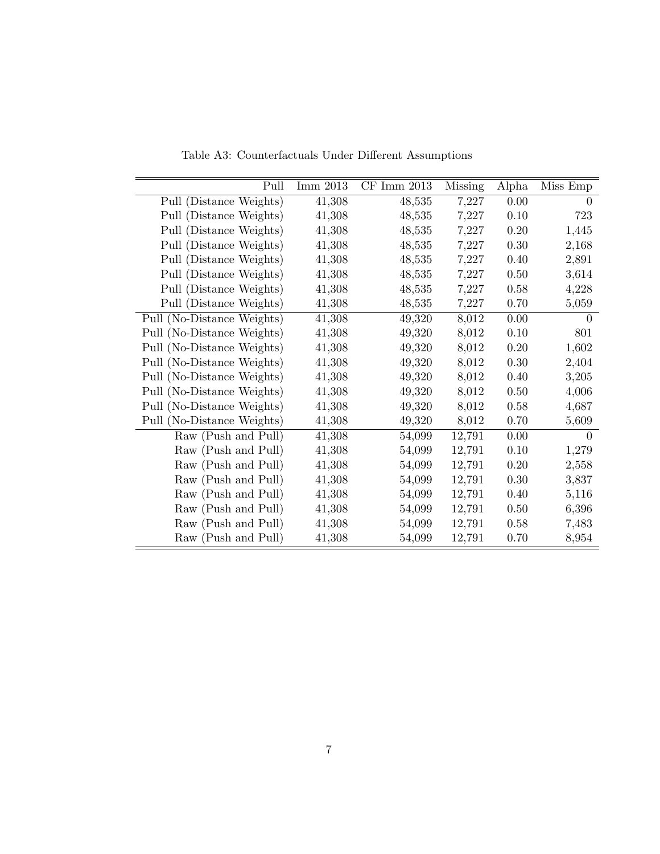| Pull                       | Imm 2013 | $CF$ Imm $2013$ | <b>Missing</b> | Alpha    | Miss Emp |
|----------------------------|----------|-----------------|----------------|----------|----------|
| Pull (Distance Weights)    | 41,308   | 48,535          | 7,227          | 0.00     | $\Omega$ |
| Pull (Distance Weights)    | 41,308   | 48,535          | 7,227          | 0.10     | 723      |
| Pull (Distance Weights)    | 41,308   | 48,535          | 7,227          | 0.20     | 1,445    |
| Pull (Distance Weights)    | 41,308   | 48,535          | 7,227          | $0.30\,$ | 2,168    |
| Pull (Distance Weights)    | 41,308   | 48,535          | 7,227          | 0.40     | 2,891    |
| Pull (Distance Weights)    | 41,308   | 48,535          | 7,227          | 0.50     | 3,614    |
| Pull (Distance Weights)    | 41,308   | 48,535          | 7,227          | 0.58     | 4,228    |
| Pull (Distance Weights)    | 41,308   | 48,535          | 7,227          | 0.70     | 5,059    |
| Pull (No-Distance Weights) | 41,308   | 49,320          | 8,012          | 0.00     | 0        |
| Pull (No-Distance Weights) | 41,308   | 49,320          | 8,012          | 0.10     | 801      |
| Pull (No-Distance Weights) | 41,308   | 49,320          | 8,012          | 0.20     | 1,602    |
| Pull (No-Distance Weights) | 41,308   | 49,320          | 8,012          | 0.30     | 2,404    |
| Pull (No-Distance Weights) | 41,308   | 49,320          | 8,012          | 0.40     | 3,205    |
| Pull (No-Distance Weights) | 41,308   | 49,320          | 8,012          | 0.50     | 4,006    |
| Pull (No-Distance Weights) | 41,308   | 49,320          | 8,012          | 0.58     | 4,687    |
| Pull (No-Distance Weights) | 41,308   | 49,320          | 8,012          | 0.70     | 5,609    |
| Raw (Push and Pull)        | 41,308   | 54,099          | 12,791         | 0.00     | $\theta$ |
| Raw (Push and Pull)        | 41,308   | 54,099          | 12,791         | 0.10     | 1,279    |
| Raw (Push and Pull)        | 41,308   | 54,099          | 12,791         | 0.20     | 2,558    |
| Raw (Push and Pull)        | 41,308   | 54,099          | 12,791         | 0.30     | 3,837    |
| Raw (Push and Pull)        | 41,308   | 54,099          | 12,791         | 0.40     | 5,116    |
| Raw (Push and Pull)        | 41,308   | 54,099          | 12,791         | 0.50     | 6,396    |
| Raw (Push and Pull)        | 41,308   | 54,099          | 12,791         | 0.58     | 7,483    |
| Raw (Push and Pull)        | 41,308   | 54,099          | 12,791         | 0.70     | 8,954    |

Table A3: Counterfactuals Under Different Assumptions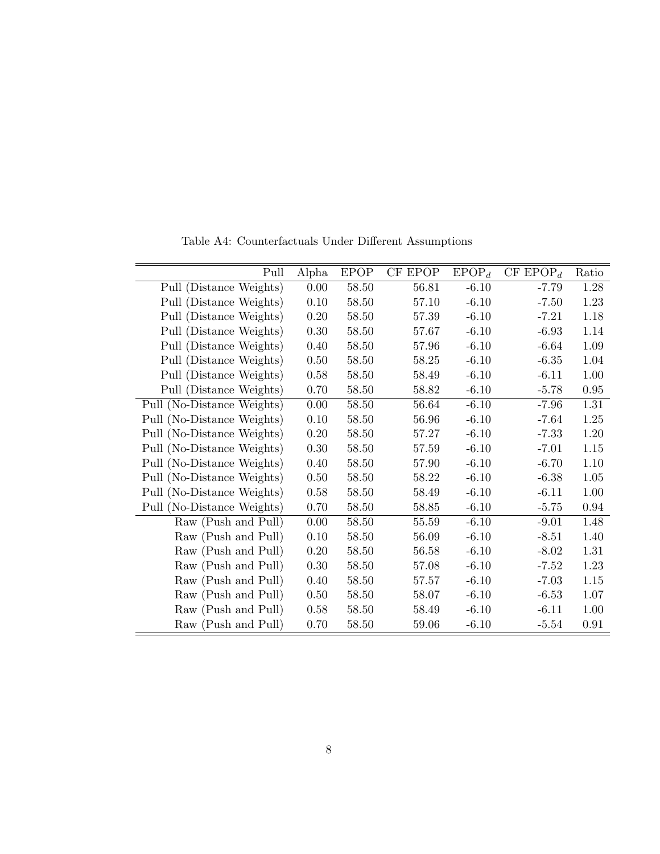| Pull                       | Alpha | <b>EPOP</b> | CF EPOP | $EPOP_d$ | CF EPOP <sub>d</sub> | Ratio |
|----------------------------|-------|-------------|---------|----------|----------------------|-------|
| Pull (Distance Weights)    | 0.00  | 58.50       | 56.81   | $-6.10$  | $-7.79$              | 1.28  |
| Pull (Distance Weights)    | 0.10  | 58.50       | 57.10   | $-6.10$  | $-7.50$              | 1.23  |
| Pull (Distance Weights)    | 0.20  | 58.50       | 57.39   | $-6.10$  | $-7.21$              | 1.18  |
| Pull (Distance Weights)    | 0.30  | 58.50       | 57.67   | $-6.10$  | $-6.93$              | 1.14  |
| Pull (Distance Weights)    | 0.40  | 58.50       | 57.96   | $-6.10$  | $-6.64$              | 1.09  |
| Pull (Distance Weights)    | 0.50  | 58.50       | 58.25   | $-6.10$  | $-6.35$              | 1.04  |
| Pull (Distance Weights)    | 0.58  | 58.50       | 58.49   | $-6.10$  | $-6.11$              | 1.00  |
| Pull (Distance Weights)    | 0.70  | 58.50       | 58.82   | $-6.10$  | $-5.78$              | 0.95  |
| Pull (No-Distance Weights) | 0.00  | 58.50       | 56.64   | $-6.10$  | $-7.96$              | 1.31  |
| Pull (No-Distance Weights) | 0.10  | 58.50       | 56.96   | $-6.10$  | $-7.64$              | 1.25  |
| Pull (No-Distance Weights) | 0.20  | 58.50       | 57.27   | $-6.10$  | $-7.33$              | 1.20  |
| Pull (No-Distance Weights) | 0.30  | 58.50       | 57.59   | $-6.10$  | $-7.01$              | 1.15  |
| Pull (No-Distance Weights) | 0.40  | 58.50       | 57.90   | $-6.10$  | $-6.70$              | 1.10  |
| Pull (No-Distance Weights) | 0.50  | 58.50       | 58.22   | $-6.10$  | $-6.38$              | 1.05  |
| Pull (No-Distance Weights) | 0.58  | 58.50       | 58.49   | $-6.10$  | $-6.11$              | 1.00  |
| Pull (No-Distance Weights) | 0.70  | 58.50       | 58.85   | $-6.10$  | $-5.75$              | 0.94  |
| Raw (Push and Pull)        | 0.00  | 58.50       | 55.59   | $-6.10$  | $-9.01$              | 1.48  |
| Raw (Push and Pull)        | 0.10  | 58.50       | 56.09   | $-6.10$  | $-8.51$              | 1.40  |
| Raw (Push and Pull)        | 0.20  | 58.50       | 56.58   | $-6.10$  | $-8.02$              | 1.31  |
| Raw (Push and Pull)        | 0.30  | 58.50       | 57.08   | $-6.10$  | $-7.52$              | 1.23  |
| Raw (Push and Pull)        | 0.40  | 58.50       | 57.57   | $-6.10$  | $-7.03$              | 1.15  |
| Raw (Push and Pull)        | 0.50  | 58.50       | 58.07   | $-6.10$  | $-6.53$              | 1.07  |
| Raw (Push and Pull)        | 0.58  | 58.50       | 58.49   | $-6.10$  | $-6.11$              | 1.00  |
| Raw (Push and Pull)        | 0.70  | 58.50       | 59.06   | $-6.10$  | $-5.54$              | 0.91  |

Table A4: Counterfactuals Under Different Assumptions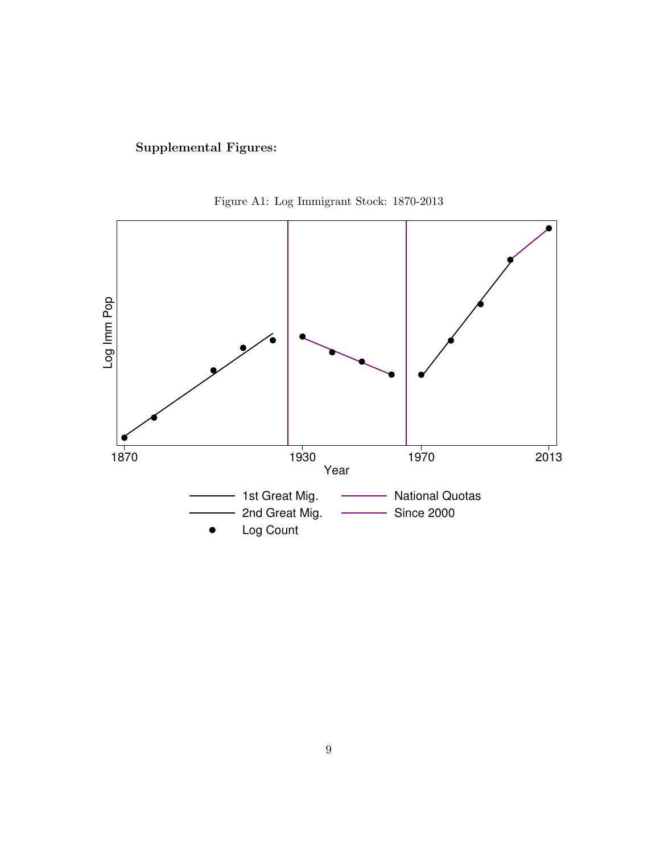# Supplemental Figures:



Figure A1: Log Immigrant Stock: 1870-2013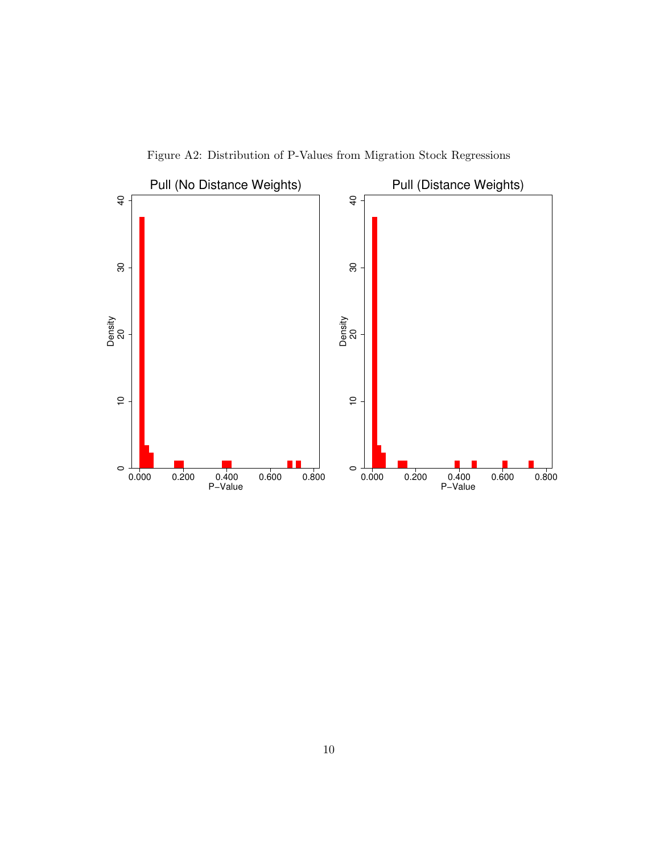

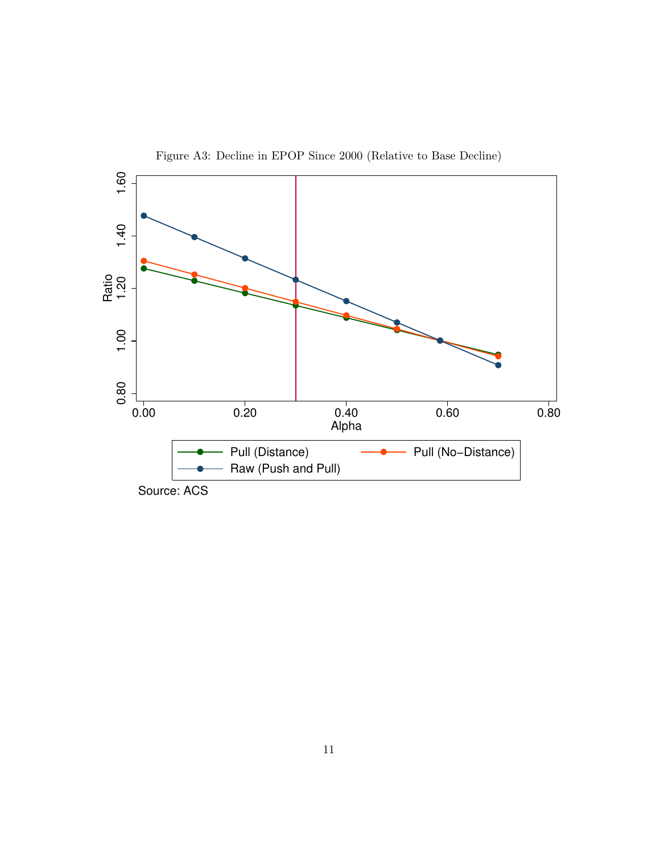

Figure A3: Decline in EPOP Since 2000 (Relative to Base Decline)

Source: ACS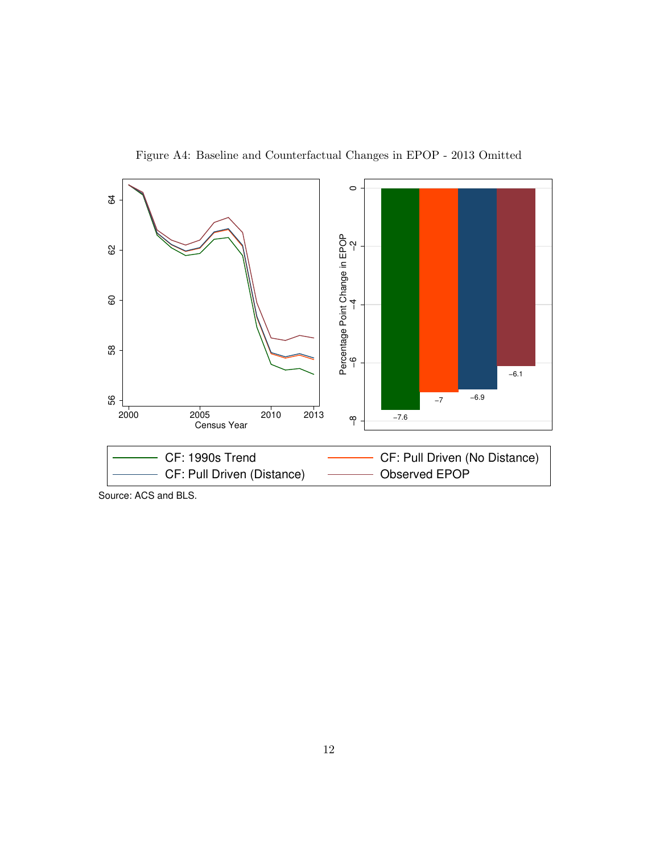

Figure A4: Baseline and Counterfactual Changes in EPOP - 2013 Omitted

Source: ACS and BLS.